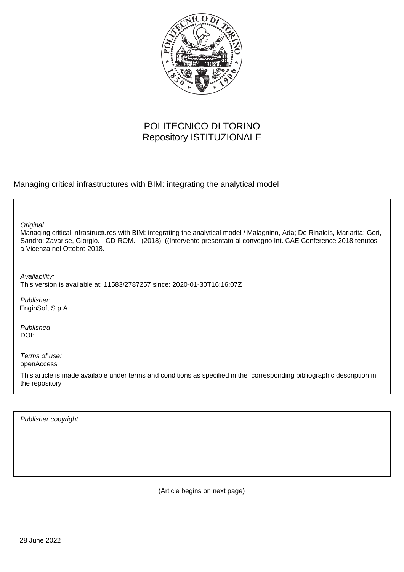

## POLITECNICO DI TORINO Repository ISTITUZIONALE

Managing critical infrastructures with BIM: integrating the analytical model

**Original** 

Managing critical infrastructures with BIM: integrating the analytical model / Malagnino, Ada; De Rinaldis, Mariarita; Gori, Sandro; Zavarise, Giorgio. - CD-ROM. - (2018). ((Intervento presentato al convegno Int. CAE Conference 2018 tenutosi a Vicenza nel Ottobre 2018.

Availability: This version is available at: 11583/2787257 since: 2020-01-30T16:16:07Z

Publisher: EnginSoft S.p.A.

Published DOI:

Terms of use: openAccess

This article is made available under terms and conditions as specified in the corresponding bibliographic description in the repository

Publisher copyright

(Article begins on next page)